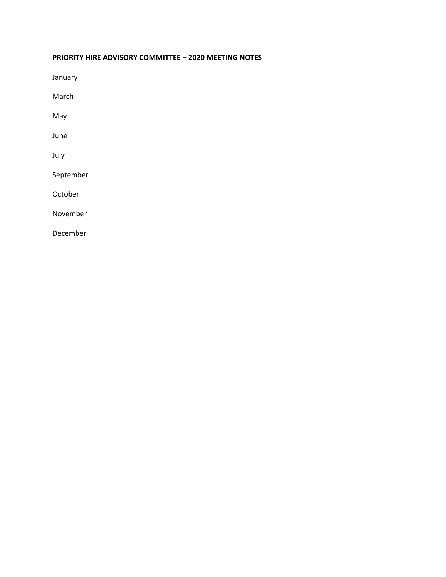### **PRIORITY HIRE ADVISORY COMMITTEE – 2020 MEETING NOTES**

[January](#page-1-0)

[March](#page-5-0)

[May](#page-7-0)

[June](#page-9-0)

[July](#page-11-0)

[September](#page-14-0)

[October](#page-17-0)

[November](#page-19-0)

[December](#page-21-0)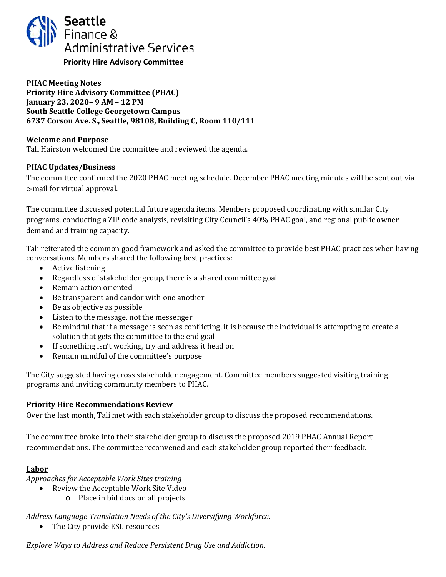<span id="page-1-0"></span>

### **PHAC Meeting Notes Priority Hire Advisory Committee (PHAC) January 23, 2020– 9 AM – 12 PM South Seattle College Georgetown Campus 6737 Corson Ave. S., Seattle, 98108, Building C, Room 110/111**

### **Welcome and Purpose**

Tali Hairston welcomed the committee and reviewed the agenda.

### **PHAC Updates/Business**

The committee confirmed the 2020 PHAC meeting schedule. December PHAC meeting minutes will be sent out via e-mail for virtual approval.

The committee discussed potential future agenda items. Members proposed coordinating with similar City programs, conducting a ZIP code analysis, revisiting City Council's 40% PHAC goal, and regional public owner demand and training capacity.

Tali reiterated the common good framework and asked the committee to provide best PHAC practices when having conversations. Members shared the following best practices:

- Active listening
- Regardless of stakeholder group, there is a shared committee goal
- Remain action oriented
- Be transparent and candor with one another
- Be as objective as possible
- Listen to the message, not the messenger
- Be mindful that if a message is seen as conflicting, it is because the individual is attempting to create a solution that gets the committee to the end goal
- If something isn't working, try and address it head on
- Remain mindful of the committee's purpose

The City suggested having cross stakeholder engagement. Committee members suggested visiting training programs and inviting community members to PHAC.

#### **Priority Hire Recommendations Review**

Over the last month, Tali met with each stakeholder group to discuss the proposed recommendations.

The committee broke into their stakeholder group to discuss the proposed 2019 PHAC Annual Report recommendations. The committee reconvened and each stakeholder group reported their feedback.

### **Labor**

*Approaches for Acceptable Work Sites training*

- Review the Acceptable Work Site Video
	- o Place in bid docs on all projects

*Address Language Translation Needs of the City's Diversifying Workforce.* 

• The City provide ESL resources

*Explore Ways to Address and Reduce Persistent Drug Use and Addiction.*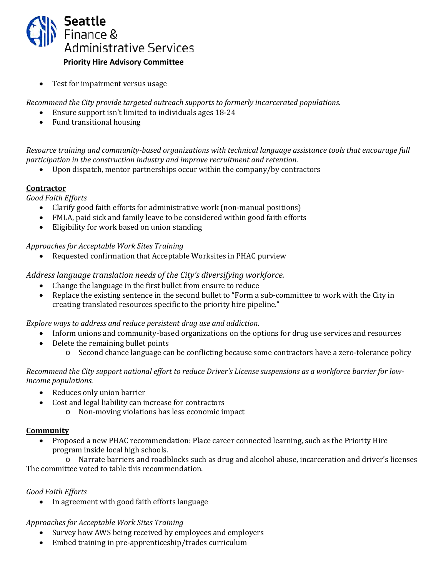

• Test for impairment versus usage

*Recommend the City provide targeted outreach supports to formerly incarcerated populations.*

- Ensure support isn't limited to individuals ages 18-24
- Fund transitional housing

*Resource training and community-based organizations with technical language assistance tools that encourage full participation in the construction industry and improve recruitment and retention.* 

• Upon dispatch, mentor partnerships occur within the company/by contractors

# **Contractor**

*Good Faith Efforts*

- Clarify good faith efforts for administrative work (non-manual positions)
- FMLA, paid sick and family leave to be considered within good faith efforts
- Eligibility for work based on union standing

### *Approaches for Acceptable Work Sites Training*

• Requested confirmation that Acceptable Worksites in PHAC purview

*Address language translation needs of the City's diversifying workforce.* 

- Change the language in the first bullet from ensure to reduce<br>• Replace the existing sentence in the second bullet to "Form a
- Replace the existing sentence in the second bullet to "Form a sub-committee to work with the City in creating translated resources specific to the priority hire pipeline."

*Explore ways to address and reduce persistent drug use and addiction.* 

- Inform unions and community-based organizations on the options for drug use services and resources
- Delete the remaining bullet points
	- o Second chance language can be conflicting because some contractors have a zero-tolerance policy

### *Recommend the City support national effort to reduce Driver's License suspensions as a workforce barrier for lowincome populations.*

- Reduces only union barrier
- Cost and legal liability can increase for contractors
	- o Non-moving violations has less economic impact

# **Community**

• Proposed a new PHAC recommendation: Place career connected learning, such as the Priority Hire program inside local high schools.

o Narrate barriers and roadblocks such as drug and alcohol abuse, incarceration and driver's licenses The committee voted to table this recommendation.

# *Good Faith Efforts*

• In agreement with good faith efforts language

### *Approaches for Acceptable Work Sites Training*

- Survey how AWS being received by employees and employers
- Embed training in pre-apprenticeship/trades curriculum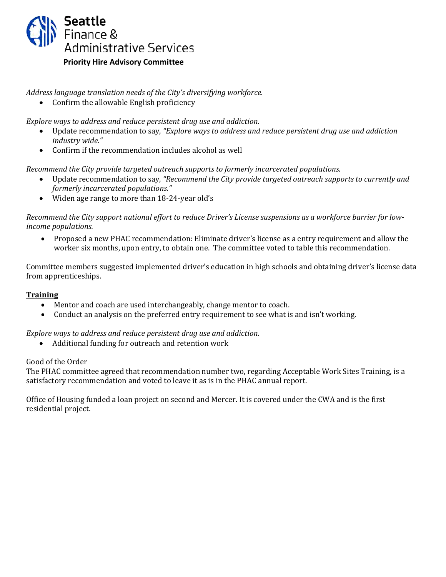

*Address language translation needs of the City's diversifying workforce.* 

• Confirm the allowable English proficiency

*Explore ways to address and reduce persistent drug use and addiction.* 

- Update recommendation to say, *"Explore ways to address and reduce persistent drug use and addiction industry wide."*
- Confirm if the recommendation includes alcohol as well

*Recommend the City provide targeted outreach supports to formerly incarcerated populations.*

- Update recommendation to say, *"Recommend the City provide targeted outreach supports to currently and formerly incarcerated populations."*
- Widen age range to more than 18-24-year old's

*Recommend the City support national effort to reduce Driver's License suspensions as a workforce barrier for lowincome populations.* 

• Proposed a new PHAC recommendation: Eliminate driver's license as a entry requirement and allow the worker six months, upon entry, to obtain one. The committee voted to table this recommendation.

Committee members suggested implemented driver's education in high schools and obtaining driver's license data from apprenticeships.

# **Training**

- Mentor and coach are used interchangeably, change mentor to coach.<br>• Conduct an analysis on the preferred entry requirement to see what is
- Conduct an analysis on the preferred entry requirement to see what is and isn't working.

### *Explore ways to address and reduce persistent drug use and addiction.*

• Additional funding for outreach and retention work

### Good of the Order

The PHAC committee agreed that recommendation number two, regarding Acceptable Work Sites Training, is a satisfactory recommendation and voted to leave it as is in the PHAC annual report.

Office of Housing funded a loan project on second and Mercer. It is covered under the CWA and is the first residential project.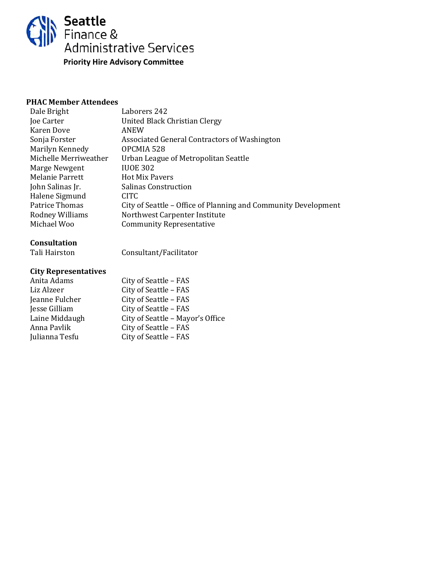

| Dale Bright           | Laborers 242                                                   |
|-----------------------|----------------------------------------------------------------|
| Joe Carter            | United Black Christian Clergy                                  |
| Karen Dove            | ANEW                                                           |
| Sonja Forster         | Associated General Contractors of Washington                   |
| Marilyn Kennedy       | OPCMIA 528                                                     |
| Michelle Merriweather | Urban League of Metropolitan Seattle                           |
| Marge Newgent         | <b>IUOE 302</b>                                                |
| Melanie Parrett       | <b>Hot Mix Pavers</b>                                          |
| John Salinas Jr.      | Salinas Construction                                           |
| Halene Sigmund        | CITC.                                                          |
| Patrice Thomas        | City of Seattle - Office of Planning and Community Development |
| Rodney Williams       | Northwest Carpenter Institute                                  |
| Michael Woo           | <b>Community Representative</b>                                |
|                       |                                                                |

### **Consultation**

Tali Hairston

Consultant/Facilitator

| Anita Adams    | City of Seattle - FAS            |
|----------------|----------------------------------|
| Liz Alzeer     | City of Seattle - FAS            |
| Jeanne Fulcher | City of Seattle - FAS            |
| Jesse Gilliam  | City of Seattle - FAS            |
| Laine Middaugh | City of Seattle - Mayor's Office |
| Anna Pavlik    | City of Seattle - FAS            |
| Julianna Tesfu | City of Seattle - FAS            |
|                |                                  |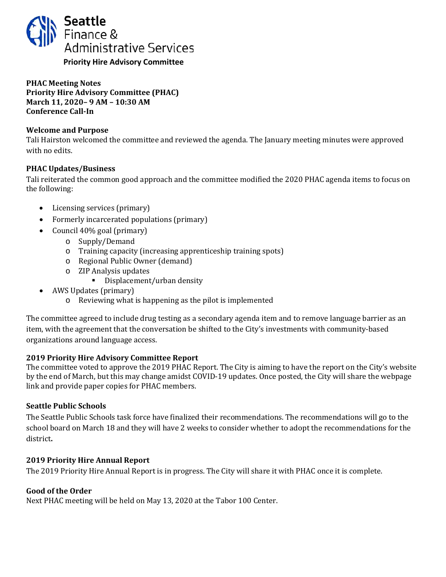<span id="page-5-0"></span>

**PHAC Meeting Notes Priority Hire Advisory Committee (PHAC) March 11, 2020– 9 AM – 10:30 AM Conference Call-In** 

### **Welcome and Purpose**

Tali Hairston welcomed the committee and reviewed the agenda. The January meeting minutes were approved with no edits.

# **PHAC Updates/Business**

Tali reiterated the common good approach and the committee modified the 2020 PHAC agenda items to focus on the following:

- Licensing services (primary)
- Formerly incarcerated populations (primary)
- Council 40% goal (primary)
	- o Supply/Demand
	- o Training capacity (increasing apprenticeship training spots)
	- o Regional Public Owner (demand)
	- o ZIP Analysis updates
		- **•** Displacement/urban density
- AWS Updates (primary)
	- o Reviewing what is happening as the pilot is implemented

The committee agreed to include drug testing as a secondary agenda item and to remove language barrier as an item, with the agreement that the conversation be shifted to the City's investments with community-based organizations around language access.

### **2019 Priority Hire Advisory Committee Report**

The committee voted to approve the 2019 PHAC Report. The City is aiming to have the report on the City's website by the end of March, but this may change amidst COVID-19 updates. Once posted, the City will share the webpage link and provide paper copies for PHAC members.

### **Seattle Public Schools**

The Seattle Public Schools task force have finalized their recommendations. The recommendations will go to the school board on March 18 and they will have 2 weeks to consider whether to adopt the recommendations for the district**.** 

### **2019 Priority Hire Annual Report**

The 2019 Priority Hire Annual Report is in progress. The City will share it with PHAC once it is complete.

### **Good of the Order**

Next PHAC meeting will be held on May 13, 2020 at the Tabor 100 Center.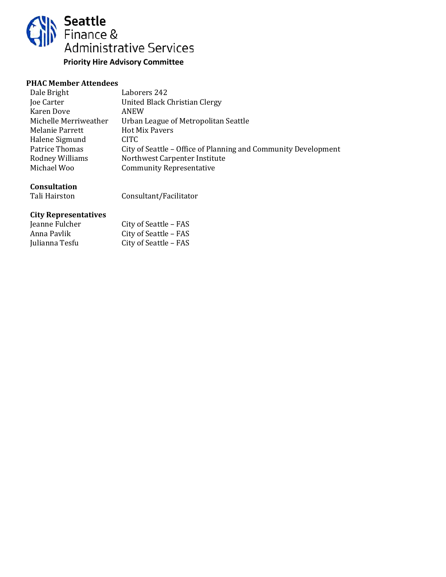

| Laborers 242                                                   |
|----------------------------------------------------------------|
| United Black Christian Clergy                                  |
| ANEW                                                           |
| Urban League of Metropolitan Seattle                           |
| <b>Hot Mix Pavers</b>                                          |
| CITC.                                                          |
| City of Seattle – Office of Planning and Community Development |
| Northwest Carpenter Institute                                  |
| <b>Community Representative</b>                                |
|                                                                |

# **Consultation**

Tali Hairston

Consultant/Facilitator

| Jeanne Fulcher | City of Seattle - FAS |
|----------------|-----------------------|
| Anna Pavlik    | City of Seattle – FAS |
| Julianna Tesfu | City of Seattle – FAS |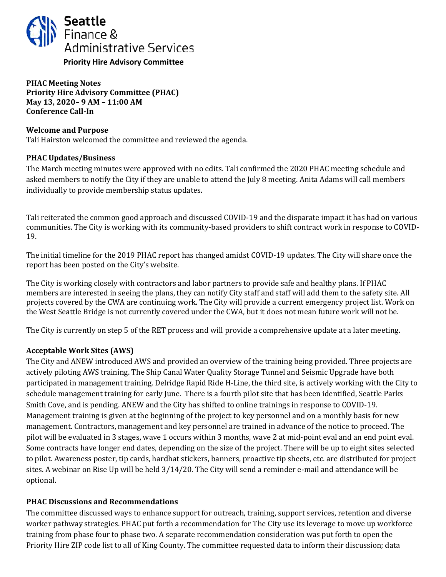<span id="page-7-0"></span>

**PHAC Meeting Notes Priority Hire Advisory Committee (PHAC) May 13, 2020– 9 AM – 11:00 AM Conference Call-In** 

### **Welcome and Purpose**

Tali Hairston welcomed the committee and reviewed the agenda.

### **PHAC Updates/Business**

The March meeting minutes were approved with no edits. Tali confirmed the 2020 PHAC meeting schedule and asked members to notify the City if they are unable to attend the July 8 meeting. Anita Adams will call members individually to provide membership status updates.

Tali reiterated the common good approach and discussed COVID-19 and the disparate impact it has had on various communities. The City is working with its community-based providers to shift contract work in response to COVID-19.

The initial timeline for the 2019 PHAC report has changed amidst COVID-19 updates. The City will share once the report has been posted on the City's website.

The City is working closely with contractors and labor partners to provide safe and healthy plans. If PHAC members are interested in seeing the plans, they can notify City staff and staff will add them to the safety site. All projects covered by the CWA are continuing work. The City will provide a current emergency project list. Work on the West Seattle Bridge is not currently covered under the CWA, but it does not mean future work will not be.

The City is currently on step 5 of the RET process and will provide a comprehensive update at a later meeting.

### **Acceptable Work Sites (AWS)**

The City and ANEW introduced AWS and provided an overview of the training being provided. Three projects are actively piloting AWS training. The Ship Canal Water Quality Storage Tunnel and Seismic Upgrade have both participated in management training. Delridge Rapid Ride H-Line, the third site, is actively working with the City to schedule management training for early June. There is a fourth pilot site that has been identified, Seattle Parks Smith Cove, and is pending. ANEW and the City has shifted to online trainings in response to COVID-19. Management training is given at the beginning of the project to key personnel and on a monthly basis for new management. Contractors, management and key personnel are trained in advance of the notice to proceed. The pilot will be evaluated in 3 stages, wave 1 occurs within 3 months, wave 2 at mid-point eval and an end point eval. Some contracts have longer end dates, depending on the size of the project. There will be up to eight sites selected to pilot. Awareness poster, tip cards, hardhat stickers, banners, proactive tip sheets, etc. are distributed for project sites. A webinar on Rise Up will be held 3/14/20. The City will send a reminder e-mail and attendance will be optional.

#### **PHAC Discussions and Recommendations**

The committee discussed ways to enhance support for outreach, training, support services, retention and diverse worker pathway strategies. PHAC put forth a recommendation for The City use its leverage to move up workforce training from phase four to phase two. A separate recommendation consideration was put forth to open the Priority Hire ZIP code list to all of King County. The committee requested data to inform their discussion; data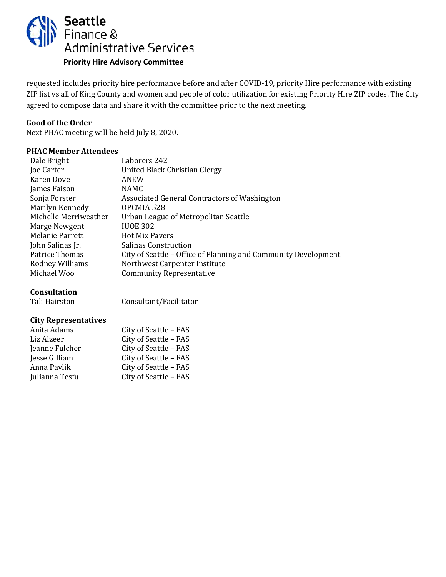

requested includes priority hire performance before and after COVID-19, priority Hire performance with existing ZIP list vs all of King County and women and people of color utilization for existing Priority Hire ZIP codes. The City agreed to compose data and share it with the committee prior to the next meeting.

#### **Good of the Order**

Next PHAC meeting will be held July 8, 2020.

#### **PHAC Member Attendees**

| Dale Bright           | Laborers 242                                                   |
|-----------------------|----------------------------------------------------------------|
| Joe Carter            | United Black Christian Clergy                                  |
| Karen Dove            | ANEW                                                           |
| James Faison          | <b>NAMC</b>                                                    |
| Sonja Forster         | Associated General Contractors of Washington                   |
| Marilyn Kennedy       | OPCMIA 528                                                     |
| Michelle Merriweather | Urban League of Metropolitan Seattle                           |
| Marge Newgent         | <b>IUOE 302</b>                                                |
| Melanie Parrett       | <b>Hot Mix Pavers</b>                                          |
| John Salinas Jr.      | <b>Salinas Construction</b>                                    |
| Patrice Thomas        | City of Seattle – Office of Planning and Community Development |
| Rodney Williams       | Northwest Carpenter Institute                                  |
| Michael Woo           | <b>Community Representative</b>                                |
|                       |                                                                |

### **Consultation**

Tali Hairston

Consultant/Facilitator

| Anita Adams    | City of Seattle - FAS |
|----------------|-----------------------|
| Liz Alzeer     | City of Seattle - FAS |
| Jeanne Fulcher | City of Seattle - FAS |
| Jesse Gilliam  | City of Seattle - FAS |
| Anna Pavlik    | City of Seattle - FAS |
| Julianna Tesfu | City of Seattle - FAS |
|                |                       |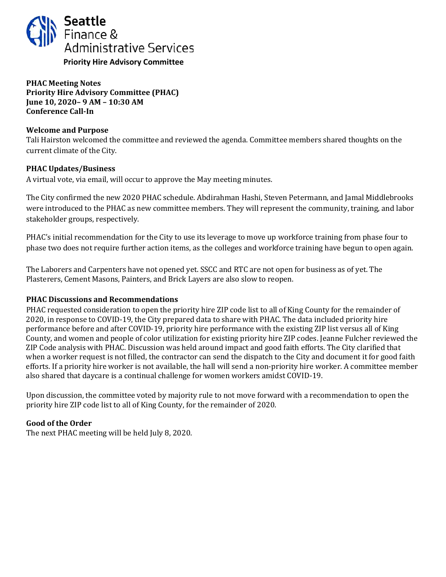<span id="page-9-0"></span>

**PHAC Meeting Notes Priority Hire Advisory Committee (PHAC) June 10, 2020– 9 AM – 10:30 AM Conference Call-In** 

### **Welcome and Purpose**

Tali Hairston welcomed the committee and reviewed the agenda. Committee members shared thoughts on the current climate of the City.

### **PHAC Updates/Business**

A virtual vote, via email, will occur to approve the May meeting minutes.

The City confirmed the new 2020 PHAC schedule. Abdirahman Hashi, Steven Petermann, and Jamal Middlebrooks were introduced to the PHAC as new committee members. They will represent the community, training, and labor stakeholder groups, respectively.

PHAC's initial recommendation for the City to use its leverage to move up workforce training from phase four to phase two does not require further action items, as the colleges and workforce training have begun to open again.

The Laborers and Carpenters have not opened yet. SSCC and RTC are not open for business as of yet. The Plasterers, Cement Masons, Painters, and Brick Layers are also slow to reopen.

### **PHAC Discussions and Recommendations**

PHAC requested consideration to open the priority hire ZIP code list to all of King County for the remainder of 2020, in response to COVID-19, the City prepared data to share with PHAC. The data included priority hire performance before and after COVID-19, priority hire performance with the existing ZIP list versus all of King County, and women and people of color utilization for existing priority hire ZIP codes. Jeanne Fulcher reviewed the ZIP Code analysis with PHAC. Discussion was held around impact and good faith efforts. The City clarified that when a worker request is not filled, the contractor can send the dispatch to the City and document it for good faith efforts. If a priority hire worker is not available, the hall will send a non-priority hire worker. A committee member also shared that daycare is a continual challenge for women workers amidst COVID-19.

Upon discussion, the committee voted by majority rule to not move forward with a recommendation to open the priority hire ZIP code list to all of King County, for the remainder of 2020.

### **Good of the Order**

The next PHAC meeting will be held July 8, 2020.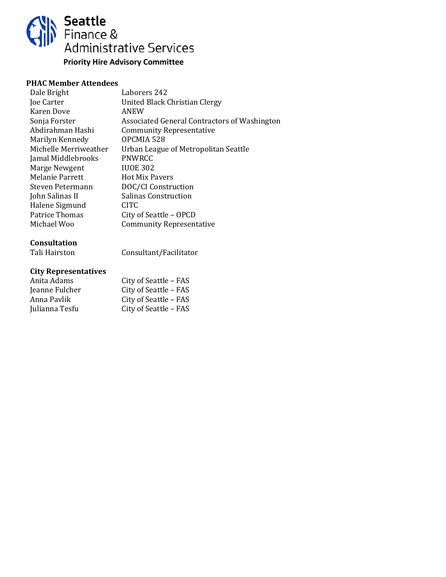

| Dale Bright            | Laborers 242                                 |
|------------------------|----------------------------------------------|
| Joe Carter             | United Black Christian Clergy                |
| Karen Dove             | ANEW                                         |
| Sonja Forster          | Associated General Contractors of Washington |
| Abdirahman Hashi       | <b>Community Representative</b>              |
| Marilyn Kennedy        | OPCMIA 528                                   |
| Michelle Merriweather  | Urban League of Metropolitan Seattle         |
| Jamal Middlebrooks     | <b>PNWRCC</b>                                |
| Marge Newgent          | <b>IUOE 302</b>                              |
| <b>Melanie Parrett</b> | <b>Hot Mix Pavers</b>                        |
| Steven Petermann       | DOC/CI Construction                          |
| John Salinas II        | <b>Salinas Construction</b>                  |
| Halene Sigmund         | CITC.                                        |
| Patrice Thomas         | City of Seattle - OPCD                       |
| Michael Woo            | <b>Community Representative</b>              |
|                        |                                              |

# **Consultation**

| Tali Hairston | Consultant/Facilitator |
|---------------|------------------------|
|               |                        |

| City of Seattle - FAS |
|-----------------------|
| City of Seattle - FAS |
| City of Seattle - FAS |
| City of Seattle - FAS |
|                       |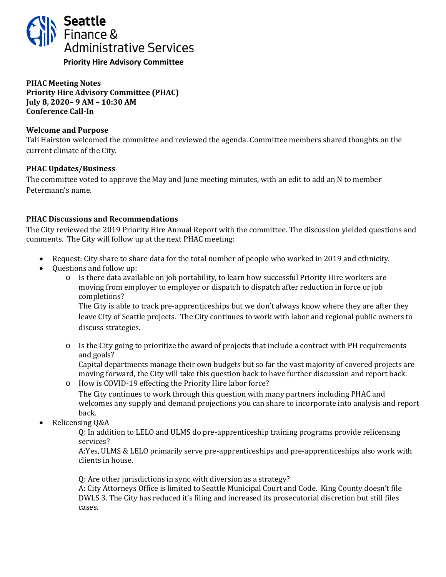<span id="page-11-0"></span>

**PHAC Meeting Notes Priority Hire Advisory Committee (PHAC) July 8, 2020– 9 AM – 10:30 AM Conference Call-In** 

### **Welcome and Purpose**

Tali Hairston welcomed the committee and reviewed the agenda. Committee members shared thoughts on the current climate of the City.

### **PHAC Updates/Business**

The committee voted to approve the May and June meeting minutes, with an edit to add an N to member Petermann's name.

### **PHAC Discussions and Recommendations**

The City reviewed the 2019 Priority Hire Annual Report with the committee. The discussion yielded questions and comments. The City will follow up at the next PHAC meeting:

- Request: City share to share data for the total number of people who worked in 2019 and ethnicity.
- Questions and follow up:
	- o Is there data available on job portability, to learn how successful Priority Hire workers are moving from employer to employer or dispatch to dispatch after reduction in force or job completions?

The City is able to track pre-apprenticeships but we don't always know where they are after they leave City of Seattle projects. The City continues to work with labor and regional public owners to discuss strategies.

 $\circ$  Is the City going to prioritize the award of projects that include a contract with PH requirements and goals?

Capital departments manage their own budgets but so far the vast majority of covered projects are moving forward, the City will take this question back to have further discussion and report back.

o How is COVID-19 effecting the Priority Hire labor force?

The City continues to work through this question with many partners including PHAC and welcomes any supply and demand projections you can share to incorporate into analysis and report back.

• Relicensing Q&A

Q: In addition to LELO and ULMS do pre-apprenticeship training programs provide relicensing services?

A:Yes, ULMS & LELO primarily serve pre-apprenticeships and pre-apprenticeships also work with clients in house.

Q: Are other jurisdictions in sync with diversion as a strategy?

A: City Attorneys Office is limited to Seattle Municipal Court and Code. King County doesn't file DWLS 3. The City has reduced it's filing and increased its prosecutorial discretion but still files cases.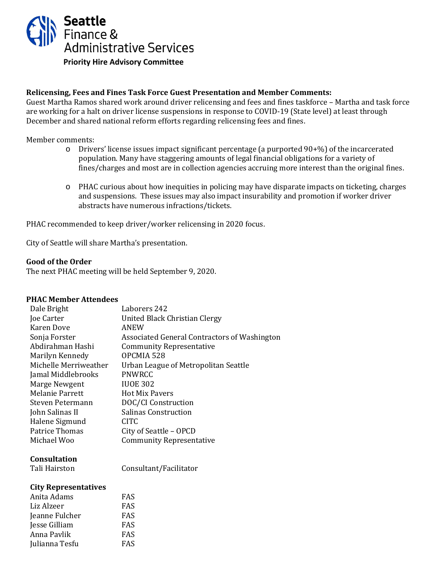

### **Relicensing, Fees and Fines Task Force Guest Presentation and Member Comments:**

Guest Martha Ramos shared work around driver relicensing and fees and fines taskforce – Martha and task force are working for a halt on driver license suspensions in response to COVID-19 (State level) at least through December and shared national reform efforts regarding relicensing fees and fines.

Member comments:

- $\circ$  Drivers' license issues impact significant percentage (a purported 90+%) of the incarcerated population. Many have staggering amounts of legal financial obligations for a variety of fines/charges and most are in collection agencies accruing more interest than the original fines.
- o PHAC curious about how inequities in policing may have disparate impacts on ticketing, charges and suspensions. These issues may also impact insurability and promotion if worker driver abstracts have numerous infractions/tickets.

PHAC recommended to keep driver/worker relicensing in 2020 focus.

City of Seattle will share Martha's presentation.

#### **Good of the Order**

The next PHAC meeting will be held September 9, 2020.

#### **PHAC Member Attendees**

| Dale Bright           | Laborers 242                                 |
|-----------------------|----------------------------------------------|
| Joe Carter            | United Black Christian Clergy                |
| <b>Karen Dove</b>     | ANEW                                         |
| Sonja Forster         | Associated General Contractors of Washington |
| Abdirahman Hashi      | <b>Community Representative</b>              |
| Marilyn Kennedy       | OPCMIA 528                                   |
| Michelle Merriweather | Urban League of Metropolitan Seattle         |
| Jamal Middlebrooks    | <b>PNWRCC</b>                                |
| Marge Newgent         | <b>IUOE 302</b>                              |
| Melanie Parrett       | <b>Hot Mix Pavers</b>                        |
| Steven Petermann      | DOC/CI Construction                          |
| John Salinas II       | <b>Salinas Construction</b>                  |
| Halene Sigmund        | CITC.                                        |
| Patrice Thomas        | City of Seattle - OPCD                       |
| Michael Woo           | <b>Community Representative</b>              |
| <b>Consultation</b>   |                                              |
|                       |                                              |

Tali Hairston

Consultant/Facilitator

| FAS |
|-----|
| FAS |
| FAS |
| FAS |
| FAS |
| FAS |
|     |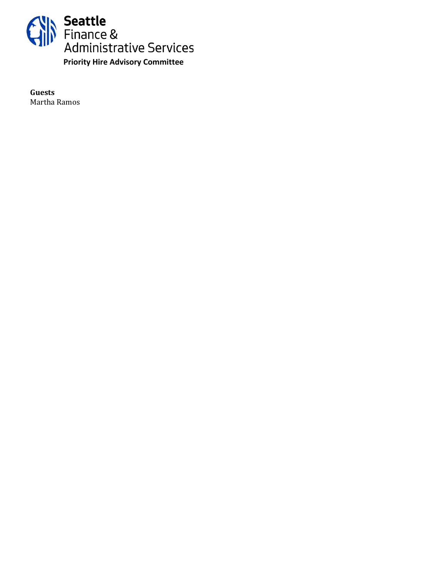

**Guests** Martha Ramos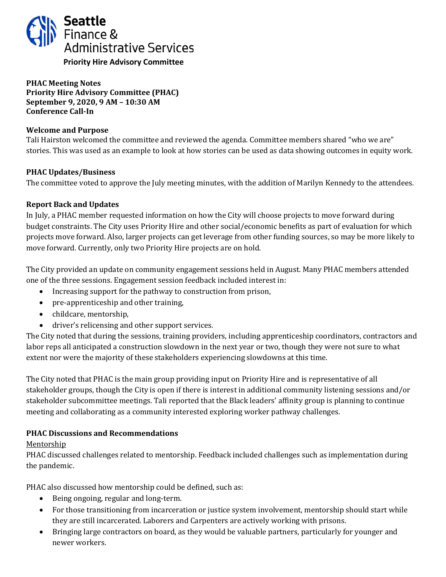<span id="page-14-0"></span>

**PHAC Meeting Notes Priority Hire Advisory Committee (PHAC) September 9, 2020, 9 AM – 10:30 AM Conference Call-In** 

### **Welcome and Purpose**

Tali Hairston welcomed the committee and reviewed the agenda. Committee members shared "who we are" stories. This was used as an example to look at how stories can be used as data showing outcomes in equity work.

### **PHAC Updates/Business**

The committee voted to approve the July meeting minutes, with the addition of Marilyn Kennedy to the attendees.

### **Report Back and Updates**

In July, a PHAC member requested information on how the City will choose projects to move forward during budget constraints. The City uses Priority Hire and other social/economic benefits as part of evaluation for which projects move forward. Also, larger projects can get leverage from other funding sources, so may be more likely to move forward. Currently, only two Priority Hire projects are on hold.

The City provided an update on community engagement sessions held in August. Many PHAC members attended one of the three sessions. Engagement session feedback included interest in:

- Increasing support for the pathway to construction from prison,
- pre-apprenticeship and other training,
- childcare, mentorship,
- driver's relicensing and other support services.

The City noted that during the sessions, training providers, including apprenticeship coordinators, contractors and labor reps all anticipated a construction slowdown in the next year or two, though they were not sure to what extent nor were the majority of these stakeholders experiencing slowdowns at this time.

The City noted that PHAC is the main group providing input on Priority Hire and is representative of all stakeholder groups, though the City is open if there is interest in additional community listening sessions and/or stakeholder subcommittee meetings. Tali reported that the Black leaders' affinity group is planning to continue meeting and collaborating as a community interested exploring worker pathway challenges.

### **PHAC Discussions and Recommendations**

### Mentorship

PHAC discussed challenges related to mentorship. Feedback included challenges such as implementation during the pandemic.

PHAC also discussed how mentorship could be defined, such as:

- Being ongoing, regular and long-term.
- For those transitioning from incarceration or justice system involvement, mentorship should start while they are still incarcerated. Laborers and Carpenters are actively working with prisons.
- Bringing large contractors on board, as they would be valuable partners, particularly for younger and newer workers.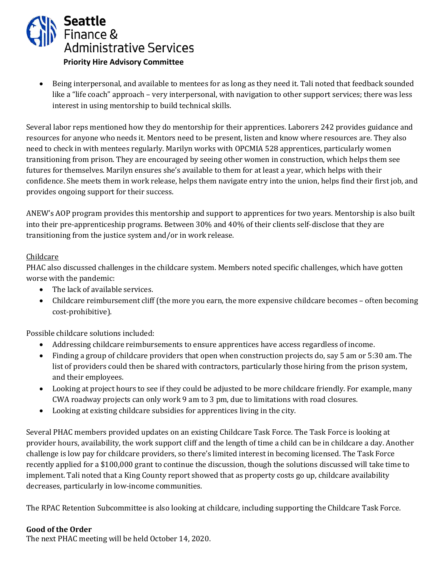

• Being interpersonal, and available to mentees for as long as they need it. Tali noted that feedback sounded like a "life coach" approach – very interpersonal, with navigation to other support services; there was less interest in using mentorship to build technical skills.

Several labor reps mentioned how they do mentorship for their apprentices. Laborers 242 provides guidance and resources for anyone who needs it. Mentors need to be present, listen and know where resources are. They also need to check in with mentees regularly. Marilyn works with OPCMIA 528 apprentices, particularly women transitioning from prison. They are encouraged by seeing other women in construction, which helps them see futures for themselves. Marilyn ensures she's available to them for at least a year, which helps with their confidence. She meets them in work release, helps them navigate entry into the union, helps find their first job, and provides ongoing support for their success.

ANEW's AOP program provides this mentorship and support to apprentices for two years. Mentorship is also built into their pre-apprenticeship programs. Between 30% and 40% of their clients self-disclose that they are transitioning from the justice system and/or in work release.

### **Childcare**

PHAC also discussed challenges in the childcare system. Members noted specific challenges, which have gotten worse with the pandemic:

- The lack of available services.
- Childcare reimbursement cliff (the more you earn, the more expensive childcare becomes often becoming cost-prohibitive).

Possible childcare solutions included:

- Addressing childcare reimbursements to ensure apprentices have access regardless of income.
- Finding a group of childcare providers that open when construction projects do, say 5 am or 5:30 am. The list of providers could then be shared with contractors, particularly those hiring from the prison system, and their employees.
- Looking at project hours to see if they could be adjusted to be more childcare friendly. For example, many CWA roadway projects can only work 9 am to 3 pm, due to limitations with road closures.
- Looking at existing childcare subsidies for apprentices living in the city.

Several PHAC members provided updates on an existing Childcare Task Force. The Task Force is looking at provider hours, availability, the work support cliff and the length of time a child can be in childcare a day. Another challenge is low pay for childcare providers, so there's limited interest in becoming licensed. The Task Force recently applied for a \$100,000 grant to continue the discussion, though the solutions discussed will take time to implement. Tali noted that a King County report showed that as property costs go up, childcare availability decreases, particularly in low-income communities.

The RPAC Retention Subcommittee is also looking at childcare, including supporting the Childcare Task Force.

### **Good of the Order**

The next PHAC meeting will be held October 14, 2020.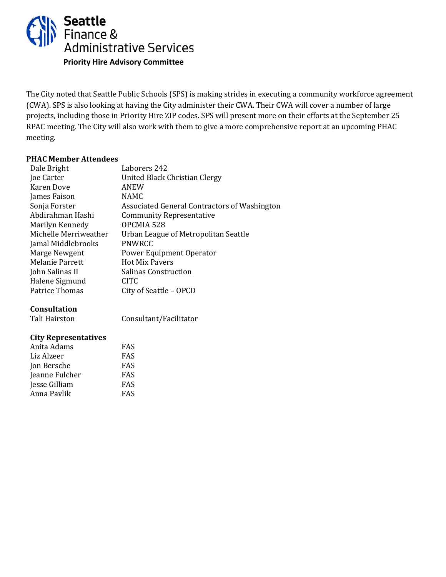

The City noted that Seattle Public Schools (SPS) is making strides in executing a community workforce agreement (CWA). SPS is also looking at having the City administer their CWA. Their CWA will cover a number of large projects, including those in Priority Hire ZIP codes. SPS will present more on their efforts at the September 25 RPAC meeting. The City will also work with them to give a more comprehensive report at an upcoming PHAC meeting.

# **PHAC Member Attendees**

| Laborers 242                                 |
|----------------------------------------------|
| United Black Christian Clergy                |
| ANEW                                         |
| <b>NAMC</b>                                  |
| Associated General Contractors of Washington |
| <b>Community Representative</b>              |
| OPCMIA 528                                   |
| Urban League of Metropolitan Seattle         |
| <b>PNWRCC</b>                                |
| Power Equipment Operator                     |
| <b>Hot Mix Pavers</b>                        |
| Salinas Construction                         |
| <b>CITC</b>                                  |
| City of Seattle – OPCD                       |
|                                              |

### **Consultation**

Tali Hairston

Consultant/Facilitator

| Anita Adams    | <b>FAS</b> |
|----------------|------------|
| Liz Alzeer     | <b>FAS</b> |
| Jon Bersche    | <b>FAS</b> |
| Jeanne Fulcher | <b>FAS</b> |
| Jesse Gilliam  | <b>FAS</b> |
| Anna Pavlik    | <b>FAS</b> |
|                |            |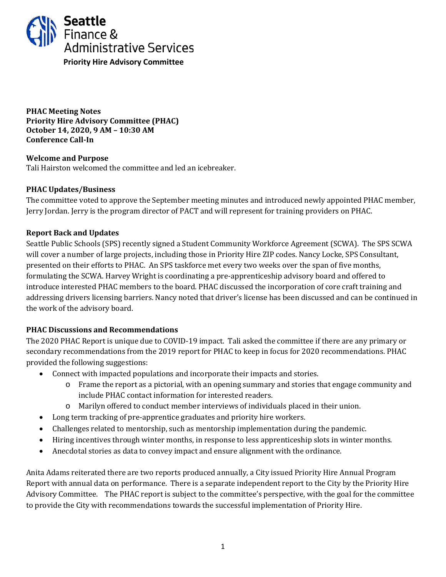<span id="page-17-0"></span>

**PHAC Meeting Notes Priority Hire Advisory Committee (PHAC) October 14, 2020, 9 AM – 10:30 AM Conference Call-In** 

### **Welcome and Purpose** Tali Hairston welcomed the committee and led an icebreaker.

### **PHAC Updates/Business**

The committee voted to approve the September meeting minutes and introduced newly appointed PHAC member, Jerry Jordan. Jerry is the program director of PACT and will represent for training providers on PHAC.

# **Report Back and Updates**

Seattle Public Schools (SPS) recently signed a Student Community Workforce Agreement (SCWA). The SPS SCWA will cover a number of large projects, including those in Priority Hire ZIP codes. Nancy Locke, SPS Consultant, presented on their efforts to PHAC. An SPS taskforce met every two weeks over the span of five months, formulating the SCWA. Harvey Wright is coordinating a pre-apprenticeship advisory board and offered to introduce interested PHAC members to the board. PHAC discussed the incorporation of core craft training and addressing drivers licensing barriers. Nancy noted that driver's license has been discussed and can be continued in the work of the advisory board.

# **PHAC Discussions and Recommendations**

The 2020 PHAC Report is unique due to COVID-19 impact. Tali asked the committee if there are any primary or secondary recommendations from the 2019 report for PHAC to keep in focus for 2020 recommendations. PHAC provided the following suggestions:

- Connect with impacted populations and incorporate their impacts and stories.
	- o Frame the report as a pictorial, with an opening summary and stories that engage community and include PHAC contact information for interested readers.
	- o Marilyn offered to conduct member interviews of individuals placed in their union.
- Long term tracking of pre-apprentice graduates and priority hire workers.
- Challenges related to mentorship, such as mentorship implementation during the pandemic.
- Hiring incentives through winter months, in response to less apprenticeship slots in winter months.
- Anecdotal stories as data to convey impact and ensure alignment with the ordinance.

Anita Adams reiterated there are two reports produced annually, a City issued Priority Hire Annual Program Report with annual data on performance. There is a separate independent report to the City by the Priority Hire Advisory Committee. The PHAC report is subject to the committee's perspective, with the goal for the committee to provide the City with recommendations towards the successful implementation of Priority Hire.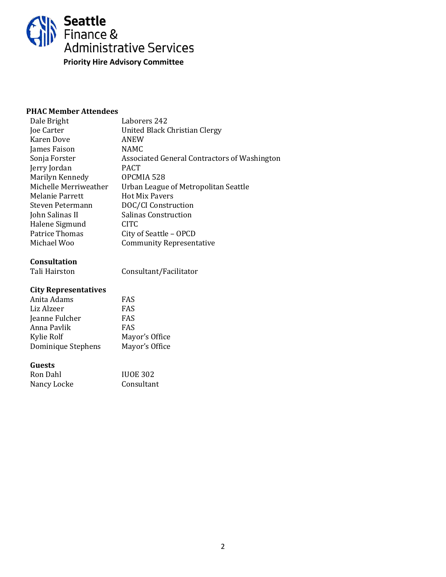

| Dale Bright           | Laborers 242                                 |
|-----------------------|----------------------------------------------|
| Joe Carter            | United Black Christian Clergy                |
| Karen Dove            | ANEW                                         |
| James Faison          | <b>NAMC</b>                                  |
| Sonja Forster         | Associated General Contractors of Washington |
| Jerry Jordan          | <b>PACT</b>                                  |
| Marilyn Kennedy       | OPCMIA 528                                   |
| Michelle Merriweather | Urban League of Metropolitan Seattle         |
| Melanie Parrett       | <b>Hot Mix Pavers</b>                        |
| Steven Petermann      | DOC/CI Construction                          |
| John Salinas II       | Salinas Construction                         |
| Halene Sigmund        | CITC                                         |
| <b>Patrice Thomas</b> | City of Seattle - OPCD                       |
| Michael Woo           | <b>Community Representative</b>              |
|                       |                                              |

# **Consultation**

Tali Hairston

Consultant/Facilitator

# **City Representatives**

| Anita Adams        | FAS            |
|--------------------|----------------|
| Liz Alzeer         | <b>FAS</b>     |
| Jeanne Fulcher     | <b>FAS</b>     |
| Anna Pavlik        | <b>FAS</b>     |
| Kylie Rolf         | Mayor's Office |
| Dominique Stephens | Mayor's Office |
|                    |                |

#### **Guests**

| Ron Dahl    | <b>IUOE 302</b> |
|-------------|-----------------|
| Nancy Locke | Consultant      |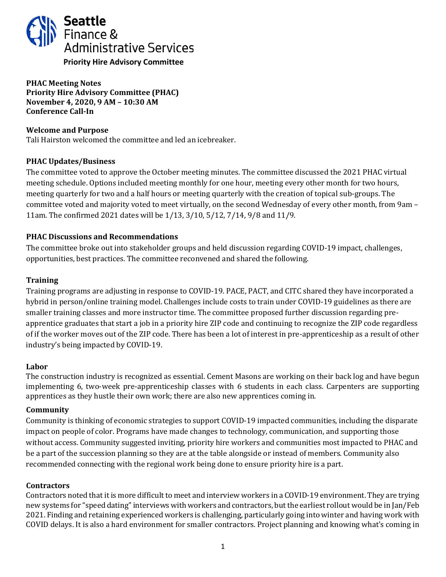<span id="page-19-0"></span>

**PHAC Meeting Notes Priority Hire Advisory Committee (PHAC) November 4, 2020, 9 AM – 10:30 AM Conference Call-In**

### **Welcome and Purpose**

Tali Hairston welcomed the committee and led an icebreaker.

# **PHAC Updates/Business**

The committee voted to approve the October meeting minutes. The committee discussed the 2021 PHAC virtual meeting schedule. Options included meeting monthly for one hour, meeting every other month for two hours, meeting quarterly for two and a half hours or meeting quarterly with the creation of topical sub-groups. The committee voted and majority voted to meet virtually, on the second Wednesday of every other month, from 9am – 11am. The confirmed 2021 dates will be 1/13, 3/10, 5/12, 7/14, 9/8 and 11/9.

# **PHAC Discussions and Recommendations**

The committee broke out into stakeholder groups and held discussion regarding COVID-19 impact, challenges, opportunities, best practices. The committee reconvened and shared the following.

# **Training**

Training programs are adjusting in response to COVID-19. PACE, PACT, and CITC shared they have incorporated a hybrid in person/online training model. Challenges include costs to train under COVID-19 guidelines as there are smaller training classes and more instructor time. The committee proposed further discussion regarding preapprentice graduates that start a job in a priority hire ZIP code and continuing to recognize the ZIP code regardless of if the worker moves out of the ZIP code. There has been a lot of interest in pre-apprenticeship as a result of other industry's being impacted by COVID-19.

### **Labor**

The construction industry is recognized as essential. Cement Masons are working on their back log and have begun implementing 6, two-week pre-apprenticeship classes with 6 students in each class. Carpenters are supporting apprentices as they hustle their own work; there are also new apprentices coming in.

### **Community**

Community is thinking of economic strategies to support COVID-19 impacted communities, including the disparate impact on people of color. Programs have made changes to technology, communication, and supporting those without access. Community suggested inviting, priority hire workers and communities most impacted to PHAC and be a part of the succession planning so they are at the table alongside or instead of members. Community also recommended connecting with the regional work being done to ensure priority hire is a part.

### **Contractors**

Contractors noted that it is more difficult to meet and interview workers in a COVID-19 environment. They are trying new systems for "speed dating" interviews with workers and contractors, but the earliest rollout would be in Jan/Feb 2021. Finding and retaining experienced workers is challenging, particularly going into winter and having work with COVID delays. It is also a hard environment for smaller contractors. Project planning and knowing what's coming in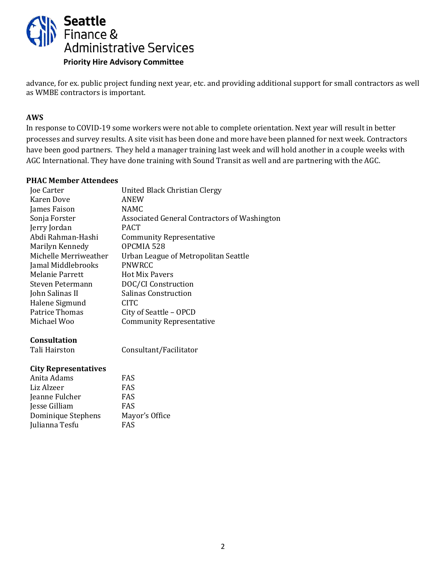

advance, for ex. public project funding next year, etc. and providing additional support for small contractors as well as WMBE contractors is important.

### **AWS**

In response to COVID-19 some workers were not able to complete orientation. Next year will result in better processes and survey results. A site visit has been done and more have been planned for next week. Contractors have been good partners. They held a manager training last week and will hold another in a couple weeks with AGC International. They have done training with Sound Transit as well and are partnering with the AGC.

#### **PHAC Member Attendees**

| Joe Carter            | United Black Christian Clergy                |
|-----------------------|----------------------------------------------|
| Karen Dove            | ANEW                                         |
| James Faison          | <b>NAMC</b>                                  |
| Sonja Forster         | Associated General Contractors of Washington |
| Jerry Jordan          | <b>PACT</b>                                  |
| Abdi Rahman-Hashi     | <b>Community Representative</b>              |
| Marilyn Kennedy       | OPCMIA 528                                   |
| Michelle Merriweather | Urban League of Metropolitan Seattle         |
| Jamal Middlebrooks    | <b>PNWRCC</b>                                |
| Melanie Parrett       | <b>Hot Mix Pavers</b>                        |
| Steven Petermann      | DOC/CI Construction                          |
| John Salinas II       | <b>Salinas Construction</b>                  |
| Halene Sigmund        | CITC.                                        |
| Patrice Thomas        | City of Seattle - OPCD                       |
| Michael Woo           | <b>Community Representative</b>              |
|                       |                                              |
|                       |                                              |

### **Consultation**

Tali Hairston

Consultant/Facilitator

| Anita Adams        | FAS            |
|--------------------|----------------|
| Liz Alzeer         | <b>FAS</b>     |
| Jeanne Fulcher     | <b>FAS</b>     |
| Jesse Gilliam      | FAS            |
| Dominique Stephens | Mayor's Office |
| Julianna Tesfu     | <b>FAS</b>     |
|                    |                |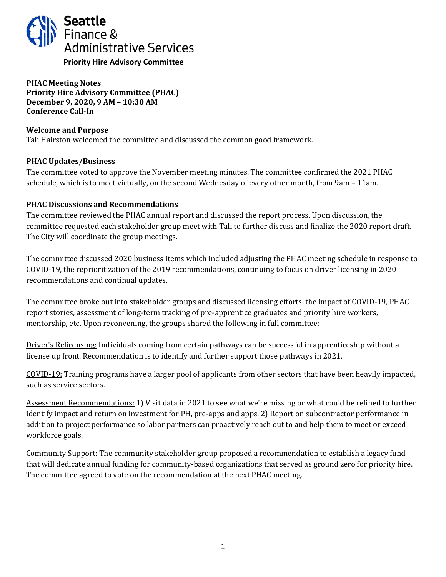<span id="page-21-0"></span>

**PHAC Meeting Notes Priority Hire Advisory Committee (PHAC) December 9, 2020, 9 AM – 10:30 AM Conference Call-In** 

### **Welcome and Purpose**

Tali Hairston welcomed the committee and discussed the common good framework.

### **PHAC Updates/Business**

The committee voted to approve the November meeting minutes. The committee confirmed the 2021 PHAC schedule, which is to meet virtually, on the second Wednesday of every other month, from 9am – 11am.

### **PHAC Discussions and Recommendations**

The committee reviewed the PHAC annual report and discussed the report process. Upon discussion, the committee requested each stakeholder group meet with Tali to further discuss and finalize the 2020 report draft. The City will coordinate the group meetings.

The committee discussed 2020 business items which included adjusting the PHAC meeting schedule in response to COVID-19, the reprioritization of the 2019 recommendations, continuing to focus on driver licensing in 2020 recommendations and continual updates.

The committee broke out into stakeholder groups and discussed licensing efforts, the impact of COVID-19, PHAC report stories, assessment of long-term tracking of pre-apprentice graduates and priority hire workers, mentorship, etc. Upon reconvening, the groups shared the following in full committee:

Driver's Relicensing: Individuals coming from certain pathways can be successful in apprenticeship without a license up front. Recommendation is to identify and further support those pathways in 2021.

COVID-19: Training programs have a larger pool of applicants from other sectors that have been heavily impacted, such as service sectors.

Assessment Recommendations: 1) Visit data in 2021 to see what we're missing or what could be refined to further identify impact and return on investment for PH, pre-apps and apps. 2) Report on subcontractor performance in addition to project performance so labor partners can proactively reach out to and help them to meet or exceed workforce goals.

Community Support: The community stakeholder group proposed a recommendation to establish a legacy fund that will dedicate annual funding for community-based organizations that served as ground zero for priority hire. The committee agreed to vote on the recommendation at the next PHAC meeting.